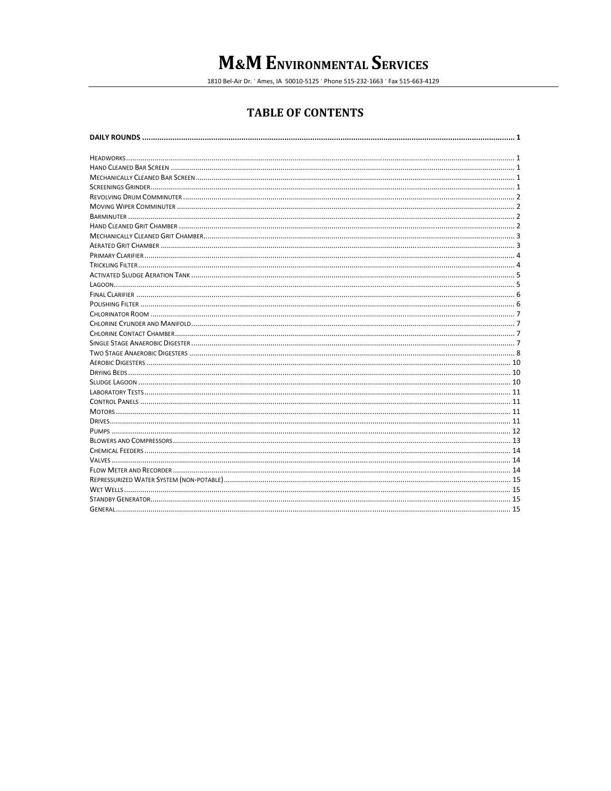1810 Bel-Air Dr. Ames, IA 50010-5125 . Phone 515-232-1663 . Fax 515-663-4129

# **TABLE OF CONTENTS**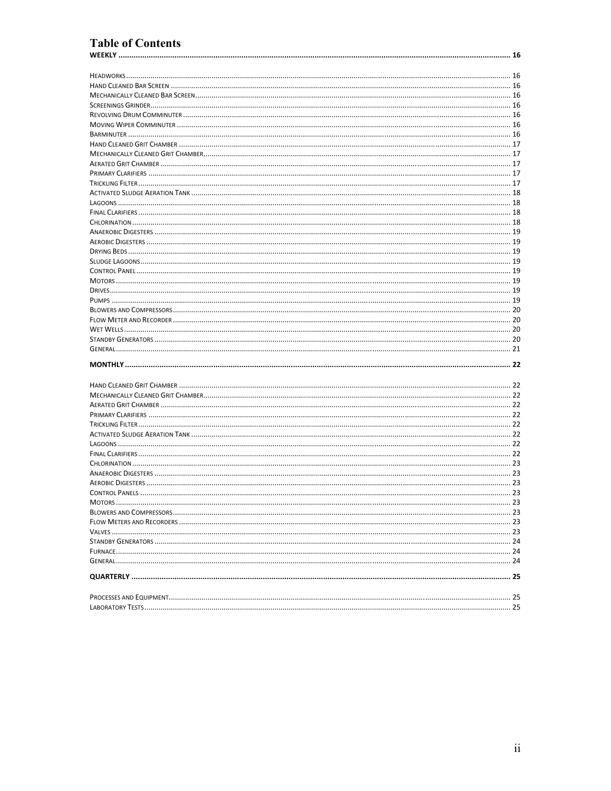# **Table of Contents**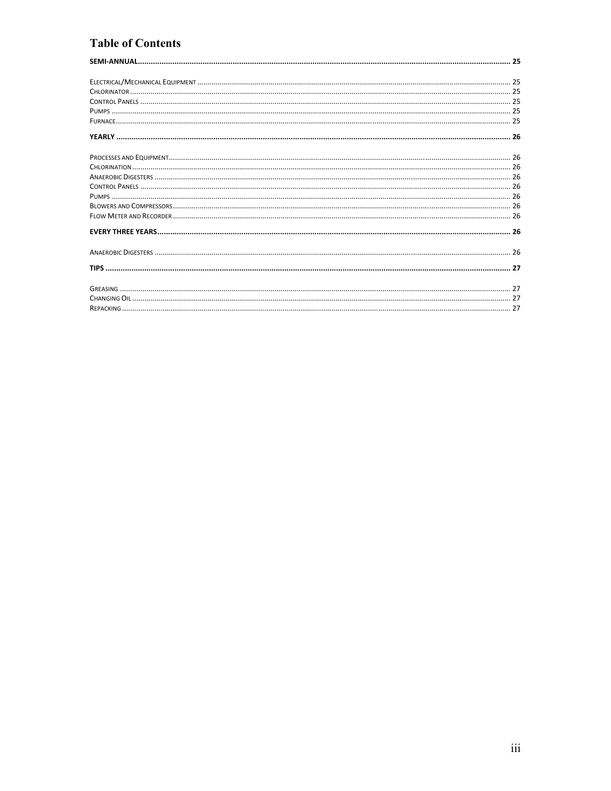# **Table of Contents**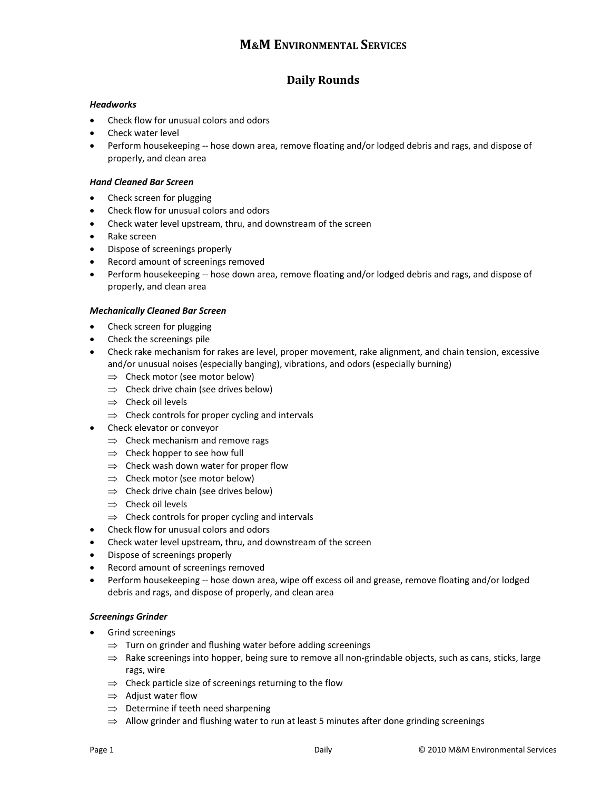### **Daily Rounds**

### *Headworks*

- Check flow for unusual colors and odors
- Check water level
- Perform housekeeping ‐‐ hose down area, remove floating and/or lodged debris and rags, and dispose of properly, and clean area

### *Hand Cleaned Bar Screen*

- Check screen for plugging
- Check flow for unusual colors and odors
- Check water level upstream, thru, and downstream of the screen
- Rake screen
- Dispose of screenings properly
- Record amount of screenings removed
- Perform housekeeping -- hose down area, remove floating and/or lodged debris and rags, and dispose of properly, and clean area

### *Mechanically Cleaned Bar Screen*

- Check screen for plugging
- Check the screenings pile
- Check rake mechanism for rakes are level, proper movement, rake alignment, and chain tension, excessive and/or unusual noises (especially banging), vibrations, and odors (especially burning)
	- $\Rightarrow$  Check motor (see motor below)
	- $\Rightarrow$  Check drive chain (see drives below)
	- $\Rightarrow$  Check oil levels
	- $\Rightarrow$  Check controls for proper cycling and intervals
- Check elevator or conveyor
	- $\Rightarrow$  Check mechanism and remove rags
	- $\Rightarrow$  Check hopper to see how full
	- $\Rightarrow$  Check wash down water for proper flow
	- $\Rightarrow$  Check motor (see motor below)
	- $\Rightarrow$  Check drive chain (see drives below)
	- ⇒ Check oil levels
	- $\Rightarrow$  Check controls for proper cycling and intervals
- Check flow for unusual colors and odors
- Check water level upstream, thru, and downstream of the screen
- Dispose of screenings properly
- Record amount of screenings removed
- Perform housekeeping -- hose down area, wipe off excess oil and grease, remove floating and/or lodged debris and rags, and dispose of properly, and clean area

### *Screenings Grinder*

- Grind screenings
	- $\Rightarrow$  Turn on grinder and flushing water before adding screenings
	- $\Rightarrow$  Rake screenings into hopper, being sure to remove all non-grindable objects, such as cans, sticks, large rags, wire
	- $\Rightarrow$  Check particle size of screenings returning to the flow
	- $\Rightarrow$  Adjust water flow
	- $\Rightarrow$  Determine if teeth need sharpening
	- $\Rightarrow$  Allow grinder and flushing water to run at least 5 minutes after done grinding screenings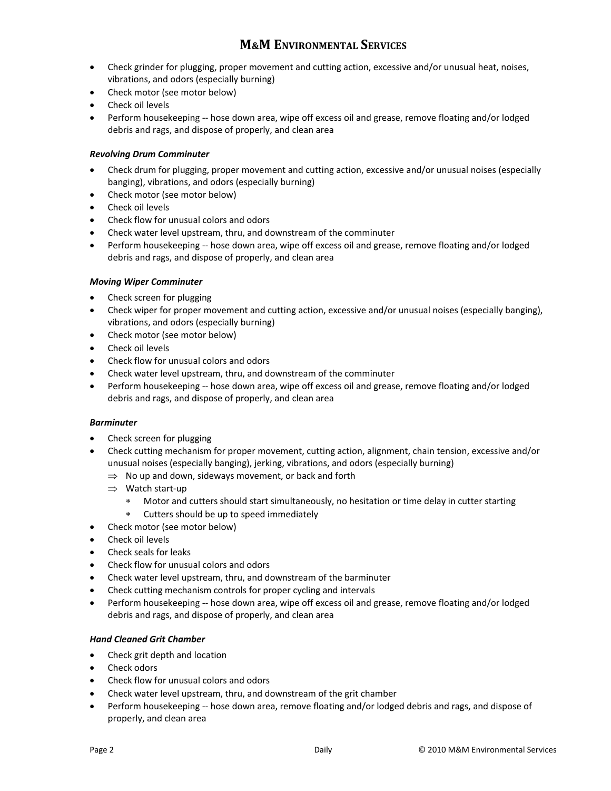- Check grinder for plugging, proper movement and cutting action, excessive and/or unusual heat, noises, vibrations, and odors (especially burning)
- Check motor (see motor below)
- Check oil levels
- Perform housekeeping -- hose down area, wipe off excess oil and grease, remove floating and/or lodged debris and rags, and dispose of properly, and clean area

### *Revolving Drum Comminuter*

- Check drum for plugging, proper movement and cutting action, excessive and/or unusual noises (especially banging), vibrations, and odors (especially burning)
- Check motor (see motor below)
- Check oil levels
- Check flow for unusual colors and odors
- Check water level upstream, thru, and downstream of the comminuter
- Perform housekeeping -- hose down area, wipe off excess oil and grease, remove floating and/or lodged debris and rags, and dispose of properly, and clean area

### *Moving Wiper Comminuter*

- Check screen for plugging
- Check wiper for proper movement and cutting action, excessive and/or unusual noises (especially banging), vibrations, and odors (especially burning)
- Check motor (see motor below)
- Check oil levels
- Check flow for unusual colors and odors
- Check water level upstream, thru, and downstream of the comminuter
- Perform housekeeping -- hose down area, wipe off excess oil and grease, remove floating and/or lodged debris and rags, and dispose of properly, and clean area

### *Barminuter*

- Check screen for plugging
- Check cutting mechanism for proper movement, cutting action, alignment, chain tension, excessive and/or unusual noises (especially banging), jerking, vibrations, and odors (especially burning)
	- $\Rightarrow$  No up and down, sideways movement, or back and forth
	- ⇒ Watch start‐up
		- ∗ Motor and cutters should start simultaneously, no hesitation or time delay in cutter starting
		- Cutters should be up to speed immediately
- Check motor (see motor below)
- Check oil levels
- Check seals for leaks
- Check flow for unusual colors and odors
- Check water level upstream, thru, and downstream of the barminuter
- Check cutting mechanism controls for proper cycling and intervals
- Perform housekeeping -- hose down area, wipe off excess oil and grease, remove floating and/or lodged debris and rags, and dispose of properly, and clean area

### *Hand Cleaned Grit Chamber*

- Check grit depth and location
- Check odors
- Check flow for unusual colors and odors
- Check water level upstream, thru, and downstream of the grit chamber
- Perform housekeeping -- hose down area, remove floating and/or lodged debris and rags, and dispose of properly, and clean area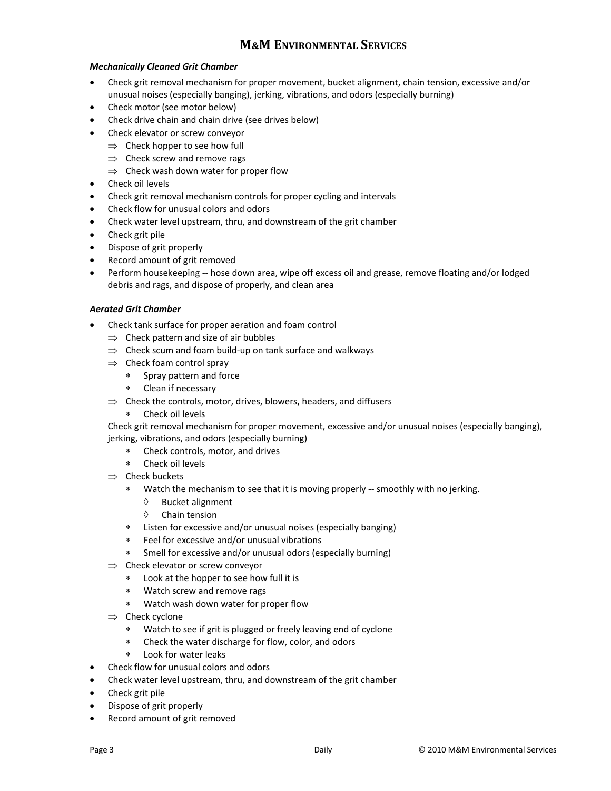### *Mechanically Cleaned Grit Chamber*

- Check grit removal mechanism for proper movement, bucket alignment, chain tension, excessive and/or unusual noises (especially banging), jerking, vibrations, and odors (especially burning)
- Check motor (see motor below)
- Check drive chain and chain drive (see drives below)
- Check elevator or screw conveyor
	- $\Rightarrow$  Check hopper to see how full
	- $\Rightarrow$  Check screw and remove rags
	- $\Rightarrow$  Check wash down water for proper flow
- Check oil levels
- Check grit removal mechanism controls for proper cycling and intervals
- Check flow for unusual colors and odors
- Check water level upstream, thru, and downstream of the grit chamber
- Check grit pile
- Dispose of grit properly
- Record amount of grit removed
- Perform housekeeping -- hose down area, wipe off excess oil and grease, remove floating and/or lodged debris and rags, and dispose of properly, and clean area

### *Aerated Grit Chamber*

- Check tank surface for proper aeration and foam control
	- $\Rightarrow$  Check pattern and size of air bubbles
	- $\Rightarrow$  Check scum and foam build-up on tank surface and walkways
	- $\Rightarrow$  Check foam control spray
		- ∗ Spray pattern and force
		- ∗ Clean if necessary
	- $\Rightarrow$  Check the controls, motor, drives, blowers, headers, and diffusers
		- ∗ Check oil levels

 Check grit removal mechanism for proper movement, excessive and/or unusual noises (especially banging), jerking, vibrations, and odors (especially burning)

- ∗ Check controls, motor, and drives
- ∗ Check oil levels
- $\Rightarrow$  Check buckets
	- ∗ Watch the mechanism to see that it is moving properly ‐‐ smoothly with no jerking.
		- ◊ Bucket alignment
		- ◊ Chain tension
	- ∗ Listen for excessive and/or unusual noises (especially banging)
	- ∗ Feel for excessive and/or unusual vibrations
	- ∗ Smell for excessive and/or unusual odors (especially burning)
- $\Rightarrow$  Check elevator or screw conveyor
	- ∗ Look at the hopper to see how full it is
	- ∗ Watch screw and remove rags
	- ∗ Watch wash down water for proper flow
- $\Rightarrow$  Check cyclone
	- ∗ Watch to see if grit is plugged or freely leaving end of cyclone
	- ∗ Check the water discharge for flow, color, and odors
	- Look for water leaks
- Check flow for unusual colors and odors
- Check water level upstream, thru, and downstream of the grit chamber
- Check grit pile
- Dispose of grit properly
- Record amount of grit removed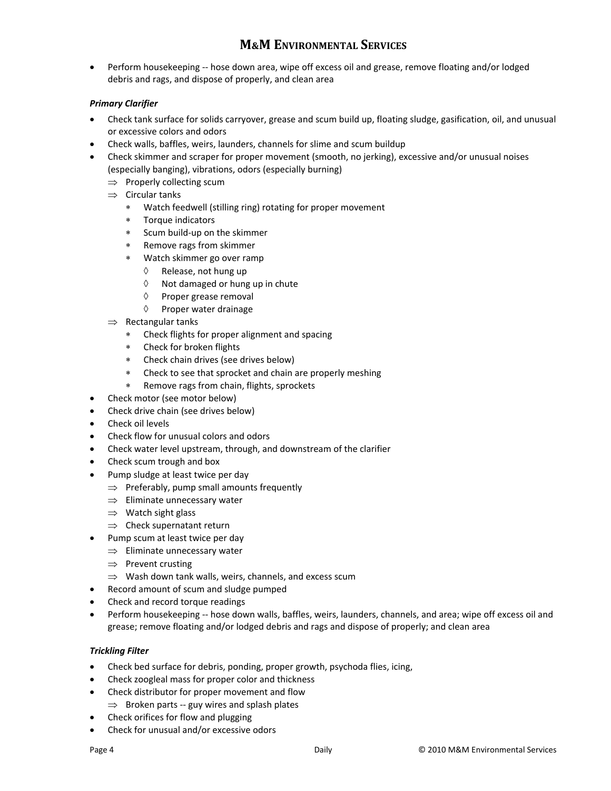• Perform housekeeping ‐‐ hose down area, wipe off excess oil and grease, remove floating and/or lodged debris and rags, and dispose of properly, and clean area

### *Primary Clarifier*

- Check tank surface for solids carryover, grease and scum build up, floating sludge, gasification, oil, and unusual or excessive colors and odors
- Check walls, baffles, weirs, launders, channels for slime and scum buildup
- Check skimmer and scraper for proper movement (smooth, no jerking), excessive and/or unusual noises (especially banging), vibrations, odors (especially burning)
	- ⇒ Properly collecting scum
	- $\Rightarrow$  Circular tanks
		- ∗ Watch feedwell (stilling ring) rotating for proper movement
		- ∗ Torque indicators
		- ∗ Scum build‐up on the skimmer
		- ∗ Remove rags from skimmer
		- ∗ Watch skimmer go over ramp
			- ◊ Release, not hung up
			- ◊ Not damaged or hung up in chute
			- ◊ Proper grease removal
			- ◊ Proper water drainage
	- $\Rightarrow$  Rectangular tanks
		- ∗ Check flights for proper alignment and spacing
		- ∗ Check for broken flights
		- ∗ Check chain drives (see drives below)
		- ∗ Check to see that sprocket and chain are properly meshing
		- ∗ Remove rags from chain, flights, sprockets
- Check motor (see motor below)
- Check drive chain (see drives below)
- Check oil levels
- Check flow for unusual colors and odors
- Check water level upstream, through, and downstream of the clarifier
- Check scum trough and box
- Pump sludge at least twice per day
	- $\Rightarrow$  Preferably, pump small amounts frequently
	- ⇒ Eliminate unnecessary water
	- $\Rightarrow$  Watch sight glass
	- $\Rightarrow$  Check supernatant return
- Pump scum at least twice per day
	- ⇒ Eliminate unnecessary water
	- $\Rightarrow$  Prevent crusting
	- ⇒ Wash down tank walls, weirs, channels, and excess scum
- Record amount of scum and sludge pumped
- Check and record torque readings
- Perform housekeeping ‐‐ hose down walls, baffles, weirs, launders, channels, and area; wipe off excess oil and grease; remove floating and/or lodged debris and rags and dispose of properly; and clean area

### *Trickling Filter*

- Check bed surface for debris, ponding, proper growth, psychoda flies, icing,
- Check zoogleal mass for proper color and thickness
- Check distributor for proper movement and flow  $\Rightarrow$  Broken parts -- guy wires and splash plates
- Check orifices for flow and plugging
- Check for unusual and/or excessive odors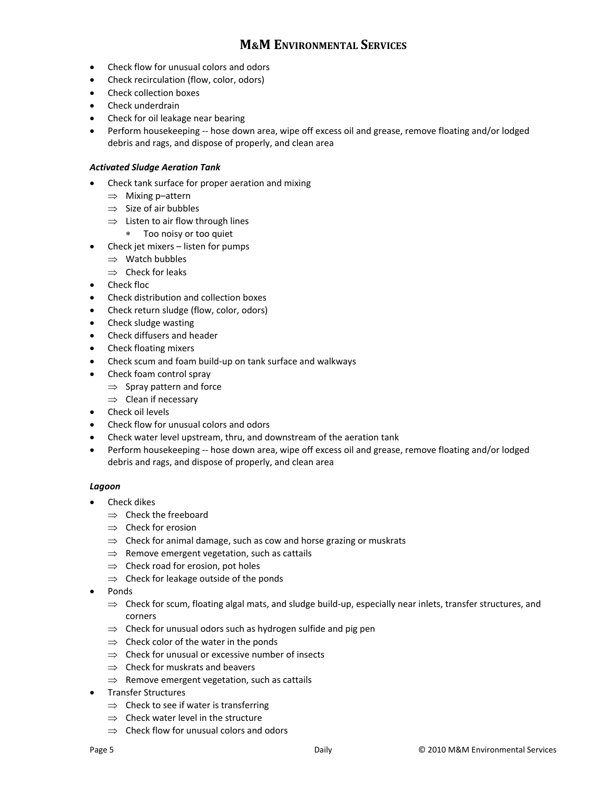- Check flow for unusual colors and odors
- Check recirculation (flow, color, odors)
- Check collection boxes
- Check underdrain
- Check for oil leakage near bearing
- Perform housekeeping -- hose down area, wipe off excess oil and grease, remove floating and/or lodged debris and rags, and dispose of properly, and clean area

### *Activated Sludge Aeration Tank*

- Check tank surface for proper aeration and mixing
	- ⇒ Mixing p–attern
	- $\Rightarrow$  Size of air bubbles
	- $\Rightarrow$  Listen to air flow through lines
		- ∗ Too noisy or too quiet
- Check jet mixers listen for pumps
	- ⇒ Watch bubbles
	- $\Rightarrow$  Check for leaks
- Check floc
- Check distribution and collection boxes
- Check return sludge (flow, color, odors)
- Check sludge wasting
- Check diffusers and header
- Check floating mixers
- Check scum and foam build‐up on tank surface and walkways
- Check foam control spray
	- $\Rightarrow$  Spray pattern and force
	- ⇒ Clean if necessary
- Check oil levels
- Check flow for unusual colors and odors
- Check water level upstream, thru, and downstream of the aeration tank
- Perform housekeeping -- hose down area, wipe off excess oil and grease, remove floating and/or lodged debris and rags, and dispose of properly, and clean area

### *Lagoon*

- Check dikes
	- ⇒ Check the freeboard
	- $\Rightarrow$  Check for erosion
	- $\Rightarrow$  Check for animal damage, such as cow and horse grazing or muskrats
	- $\Rightarrow$  Remove emergent vegetation, such as cattails
	- $\Rightarrow$  Check road for erosion, pot holes
	- $\Rightarrow$  Check for leakage outside of the ponds
- Ponds
	- $\Rightarrow$  Check for scum, floating algal mats, and sludge build-up, especially near inlets, transfer structures, and corners
	- $\Rightarrow$  Check for unusual odors such as hydrogen sulfide and pig pen
	- $\Rightarrow$  Check color of the water in the ponds
	- $\Rightarrow$  Check for unusual or excessive number of insects
	- $\Rightarrow$  Check for muskrats and beavers
	- $\Rightarrow$  Remove emergent vegetation, such as cattails
- Transfer Structures
	- $\Rightarrow$  Check to see if water is transferring
	- $\Rightarrow$  Check water level in the structure
	- $\Rightarrow$  Check flow for unusual colors and odors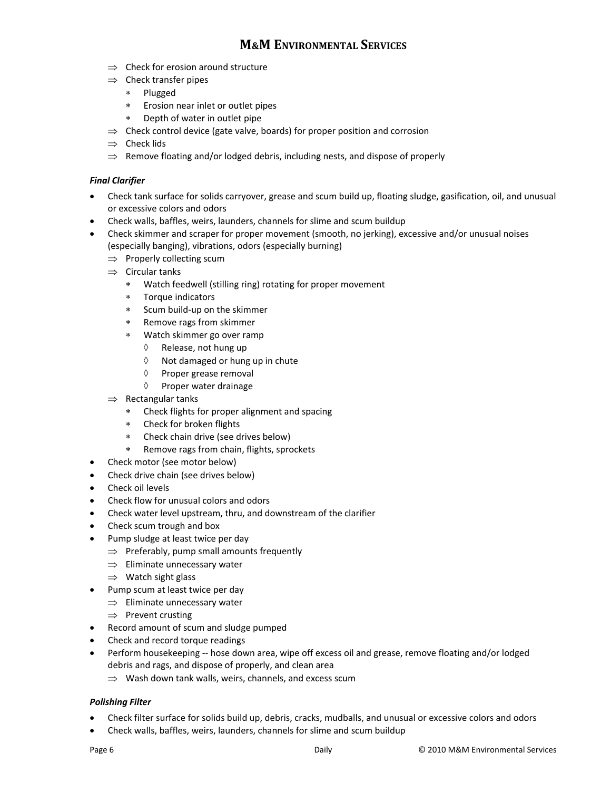- $\Rightarrow$  Check for erosion around structure
- $\Rightarrow$  Check transfer pipes
	- ∗ Plugged
	- ∗ Erosion near inlet or outlet pipes
	- ∗ Depth of water in outlet pipe
- $\Rightarrow$  Check control device (gate valve, boards) for proper position and corrosion
- ⇒ Check lids
- $\Rightarrow$  Remove floating and/or lodged debris, including nests, and dispose of properly

### *Final Clarifier*

- Check tank surface for solids carryover, grease and scum build up, floating sludge, gasification, oil, and unusual or excessive colors and odors
- Check walls, baffles, weirs, launders, channels for slime and scum buildup
- Check skimmer and scraper for proper movement (smooth, no jerking), excessive and/or unusual noises (especially banging), vibrations, odors (especially burning)
	- ⇒ Properly collecting scum
	- ⇒ Circular tanks
		- ∗ Watch feedwell (stilling ring) rotating for proper movement
		- ∗ Torque indicators
		- ∗ Scum build‐up on the skimmer
		- ∗ Remove rags from skimmer
		- ∗ Watch skimmer go over ramp
			- ◊ Release, not hung up
			- ◊ Not damaged or hung up in chute
			- ◊ Proper grease removal
			- ◊ Proper water drainage
	- $\Rightarrow$  Rectangular tanks
		- ∗ Check flights for proper alignment and spacing
		- ∗ Check for broken flights
		- ∗ Check chain drive (see drives below)
		- ∗ Remove rags from chain, flights, sprockets
- Check motor (see motor below)
- Check drive chain (see drives below)
- Check oil levels
- Check flow for unusual colors and odors
- Check water level upstream, thru, and downstream of the clarifier
- Check scum trough and box
- Pump sludge at least twice per day
	- $\Rightarrow$  Preferably, pump small amounts frequently
	- ⇒ Eliminate unnecessary water
	- $\Rightarrow$  Watch sight glass
- Pump scum at least twice per day
	- ⇒ Eliminate unnecessary water
	- $\Rightarrow$  Prevent crusting
- Record amount of scum and sludge pumped
- Check and record torque readings
- Perform housekeeping -- hose down area, wipe off excess oil and grease, remove floating and/or lodged debris and rags, and dispose of properly, and clean area
	- $\Rightarrow$  Wash down tank walls, weirs, channels, and excess scum

### *Polishing Filter*

- Check filter surface for solids build up, debris, cracks, mudballs, and unusual or excessive colors and odors
- Check walls, baffles, weirs, launders, channels for slime and scum buildup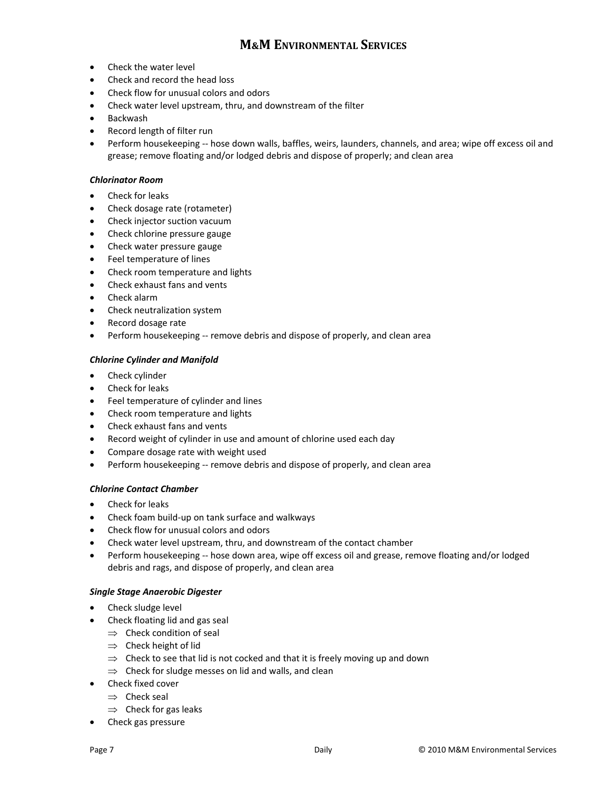- Check the water level
- Check and record the head loss
- Check flow for unusual colors and odors
- Check water level upstream, thru, and downstream of the filter
- Backwash
- Record length of filter run
- Perform housekeeping ‐‐ hose down walls, baffles, weirs, launders, channels, and area; wipe off excess oil and grease; remove floating and/or lodged debris and dispose of properly; and clean area

### *Chlorinator Room*

- Check for leaks
- Check dosage rate (rotameter)
- Check injector suction vacuum
- Check chlorine pressure gauge
- Check water pressure gauge
- Feel temperature of lines
- Check room temperature and lights
- Check exhaust fans and vents
- Check alarm
- Check neutralization system
- Record dosage rate
- Perform housekeeping -- remove debris and dispose of properly, and clean area

### *Chlorine Cylinder and Manifold*

- Check cylinder
- Check for leaks
- Feel temperature of cylinder and lines
- Check room temperature and lights
- Check exhaust fans and vents
- Record weight of cylinder in use and amount of chlorine used each day
- Compare dosage rate with weight used
- Perform housekeeping -- remove debris and dispose of properly, and clean area

### *Chlorine Contact Chamber*

- Check for leaks
- Check foam build‐up on tank surface and walkways
- Check flow for unusual colors and odors
- Check water level upstream, thru, and downstream of the contact chamber
- Perform housekeeping -- hose down area, wipe off excess oil and grease, remove floating and/or lodged debris and rags, and dispose of properly, and clean area

### *Single Stage Anaerobic Digester*

- Check sludge level
- Check floating lid and gas seal
	- $\Rightarrow$  Check condition of seal
	- $\Rightarrow$  Check height of lid
	- $\Rightarrow$  Check to see that lid is not cocked and that it is freely moving up and down
	- $\Rightarrow$  Check for sludge messes on lid and walls, and clean
- Check fixed cover
	- ⇒ Check seal
	- $\Rightarrow$  Check for gas leaks
- Check gas pressure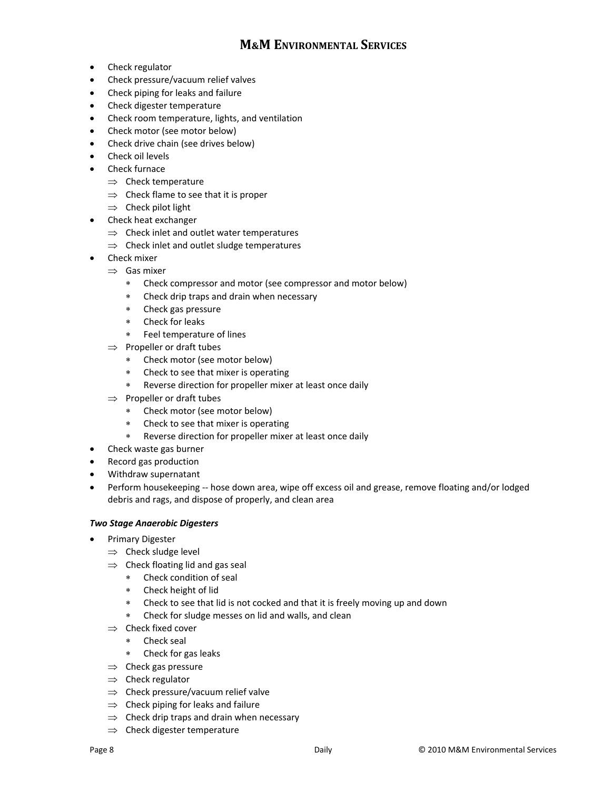- Check regulator
- Check pressure/vacuum relief valves
- Check piping for leaks and failure
- Check digester temperature
- Check room temperature, lights, and ventilation
- Check motor (see motor below)
- Check drive chain (see drives below)
- Check oil levels
- Check furnace
	- $\Rightarrow$  Check temperature
	- $\Rightarrow$  Check flame to see that it is proper
	- ⇒ Check pilot light
- Check heat exchanger
	- $\Rightarrow$  Check inlet and outlet water temperatures
	- $\Rightarrow$  Check inlet and outlet sludge temperatures
- Check mixer
	- ⇒ Gas mixer
		- ∗ Check compressor and motor (see compressor and motor below)
		- ∗ Check drip traps and drain when necessary
		- ∗ Check gas pressure
		- ∗ Check for leaks
		- ∗ Feel temperature of lines
	- ⇒ Propeller or draft tubes
		- ∗ Check motor (see motor below)
		- ∗ Check to see that mixer is operating
		- ∗ Reverse direction for propeller mixer at least once daily
	- $\Rightarrow$  Propeller or draft tubes
		- ∗ Check motor (see motor below)
		- ∗ Check to see that mixer is operating
		- ∗ Reverse direction for propeller mixer at least once daily
- Check waste gas burner
- Record gas production
- Withdraw supernatant
- Perform housekeeping -- hose down area, wipe off excess oil and grease, remove floating and/or lodged debris and rags, and dispose of properly, and clean area

### *Two Stage Anaerobic Digesters*

- Primary Digester
	- ⇒ Check sludge level
	- $\Rightarrow$  Check floating lid and gas seal
		- ∗ Check condition of seal
		- ∗ Check height of lid
		- ∗ Check to see that lid is not cocked and that it is freely moving up and down
		- ∗ Check for sludge messes on lid and walls, and clean
	- ⇒ Check fixed cover
		- ∗ Check seal
		- ∗ Check for gas leaks
	- $\Rightarrow$  Check gas pressure
	- $\Rightarrow$  Check regulator
	- ⇒ Check pressure/vacuum relief valve
	- $\Rightarrow$  Check piping for leaks and failure
	- $\Rightarrow$  Check drip traps and drain when necessary
	- ⇒ Check digester temperature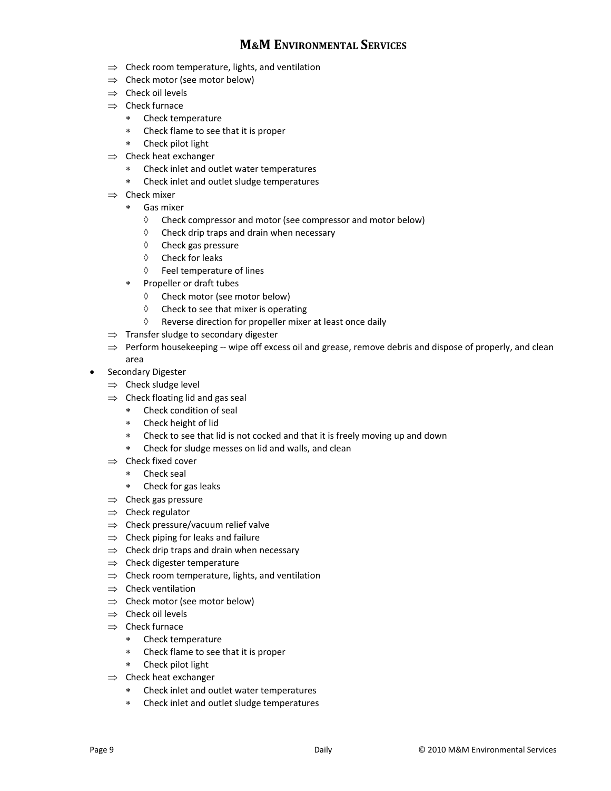- $\Rightarrow$  Check room temperature, lights, and ventilation
- $\Rightarrow$  Check motor (see motor below)
- ⇒ Check oil levels
- ⇒ Check furnace
	- ∗ Check temperature
	- ∗ Check flame to see that it is proper
	- ∗ Check pilot light
- $\Rightarrow$  Check heat exchanger
	- Check inlet and outlet water temperatures
	- ∗ Check inlet and outlet sludge temperatures
- ⇒ Check mixer
	- ∗ Gas mixer
		- ◊ Check compressor and motor (see compressor and motor below)
		- ◊ Check drip traps and drain when necessary
		- ◊ Check gas pressure
		- ◊ Check for leaks
		- ◊ Feel temperature of lines
	- ∗ Propeller or draft tubes
		- ◊ Check motor (see motor below)
		- ◊ Check to see that mixer is operating
		- ◊ Reverse direction for propeller mixer at least once daily
- $\Rightarrow$  Transfer sludge to secondary digester
- $\Rightarrow$  Perform housekeeping -- wipe off excess oil and grease, remove debris and dispose of properly, and clean area
- Secondary Digester
	- ⇒ Check sludge level
	- $\Rightarrow$  Check floating lid and gas seal
		- ∗ Check condition of seal
		- ∗ Check height of lid
		- ∗ Check to see that lid is not cocked and that it is freely moving up and down
		- Check for sludge messes on lid and walls, and clean
	- ⇒ Check fixed cover
		- ∗ Check seal
		- ∗ Check for gas leaks
	- ⇒ Check gas pressure
	- $\Rightarrow$  Check regulator
	- $\Rightarrow$  Check pressure/vacuum relief valve
	- $\Rightarrow$  Check piping for leaks and failure
	- $\Rightarrow$  Check drip traps and drain when necessary
	- ⇒ Check digester temperature
	- $\Rightarrow$  Check room temperature, lights, and ventilation
	- ⇒ Check ventilation
	- $\Rightarrow$  Check motor (see motor below)
	- ⇒ Check oil levels
	- ⇒ Check furnace
		- ∗ Check temperature
		- ∗ Check flame to see that it is proper
		- ∗ Check pilot light
	- $\Rightarrow$  Check heat exchanger
		- ∗ Check inlet and outlet water temperatures
		- ∗ Check inlet and outlet sludge temperatures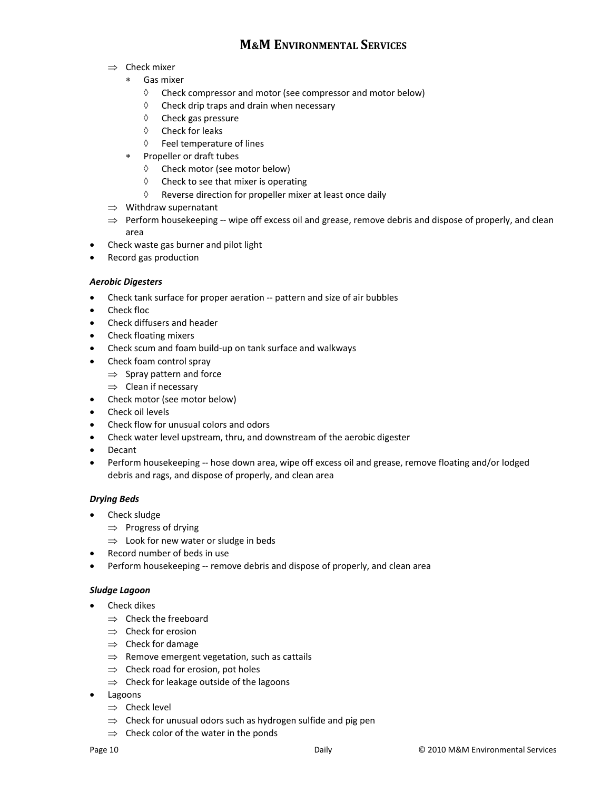- ⇒ Check mixer
	- ∗ Gas mixer
		- ◊ Check compressor and motor (see compressor and motor below)
		- ◊ Check drip traps and drain when necessary
		- ◊ Check gas pressure
		- ◊ Check for leaks
		- ◊ Feel temperature of lines
	- ∗ Propeller or draft tubes
		- ◊ Check motor (see motor below)
		- ◊ Check to see that mixer is operating
		- ◊ Reverse direction for propeller mixer at least once daily
- $\Rightarrow$  Withdraw supernatant
- $\Rightarrow$  Perform housekeeping -- wipe off excess oil and grease, remove debris and dispose of properly, and clean area
- Check waste gas burner and pilot light
- Record gas production

### *Aerobic Digesters*

- Check tank surface for proper aeration -- pattern and size of air bubbles
- Check floc
- Check diffusers and header
- Check floating mixers
- Check scum and foam build‐up on tank surface and walkways
- Check foam control spray
	- $\Rightarrow$  Spray pattern and force
	- ⇒ Clean if necessary
- Check motor (see motor below)
- Check oil levels
- Check flow for unusual colors and odors
- Check water level upstream, thru, and downstream of the aerobic digester
- Decant
- Perform housekeeping -- hose down area, wipe off excess oil and grease, remove floating and/or lodged debris and rags, and dispose of properly, and clean area

### *Drying Beds*

- Check sludge
	- ⇒ Progress of drying
	- $\Rightarrow$  Look for new water or sludge in beds
	- Record number of beds in use
- Perform housekeeping ‐‐ remove debris and dispose of properly, and clean area

### *Sludge Lagoon*

- Check dikes
	- $\Rightarrow$  Check the freeboard
	- ⇒ Check for erosion
	- $\Rightarrow$  Check for damage
	- $\Rightarrow$  Remove emergent vegetation, such as cattails
	- $\Rightarrow$  Check road for erosion, pot holes
	- $\Rightarrow$  Check for leakage outside of the lagoons
- Lagoons
	- ⇒ Check level
	- ⇒ Check for unusual odors such as hydrogen sulfide and pig pen
	- $\Rightarrow$  Check color of the water in the ponds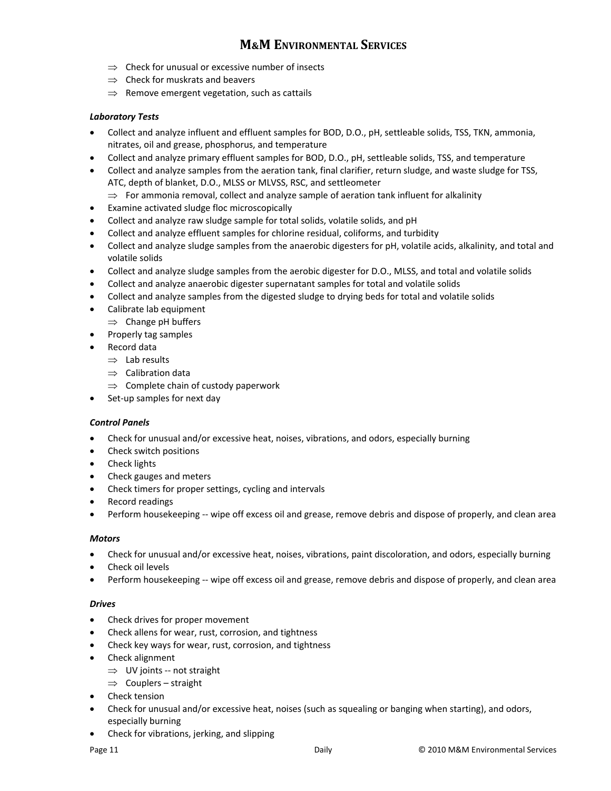- $\Rightarrow$  Check for unusual or excessive number of insects
- $\Rightarrow$  Check for muskrats and beavers
- $\Rightarrow$  Remove emergent vegetation, such as cattails

### *Laboratory Tests*

- Collect and analyze influent and effluent samples for BOD, D.O., pH, settleable solids, TSS, TKN, ammonia, nitrates, oil and grease, phosphorus, and temperature
- Collect and analyze primary effluent samples for BOD, D.O., pH, settleable solids, TSS, and temperature
- Collect and analyze samples from the aeration tank, final clarifier, return sludge, and waste sludge for TSS, ATC, depth of blanket, D.O., MLSS or MLVSS, RSC, and settleometer
- $\Rightarrow$  For ammonia removal, collect and analyze sample of aeration tank influent for alkalinity
- Examine activated sludge floc microscopically
- Collect and analyze raw sludge sample for total solids, volatile solids, and pH
- Collect and analyze effluent samples for chlorine residual, coliforms, and turbidity
- Collect and analyze sludge samples from the anaerobic digesters for pH, volatile acids, alkalinity, and total and volatile solids
- Collect and analyze sludge samples from the aerobic digester for D.O., MLSS, and total and volatile solids
- Collect and analyze anaerobic digester supernatant samples for total and volatile solids
- Collect and analyze samples from the digested sludge to drying beds for total and volatile solids
- Calibrate lab equipment
	- $\Rightarrow$  Change pH buffers
- Properly tag samples
- Record data
	- $\Rightarrow$  Lab results
	- ⇒ Calibration data
	- $\Rightarrow$  Complete chain of custody paperwork
- Set-up samples for next day

### *Control Panels*

- Check for unusual and/or excessive heat, noises, vibrations, and odors, especially burning
- Check switch positions
- Check lights
- Check gauges and meters
- Check timers for proper settings, cycling and intervals
- Record readings
- Perform housekeeping -- wipe off excess oil and grease, remove debris and dispose of properly, and clean area

### *Motors*

- Check for unusual and/or excessive heat, noises, vibrations, paint discoloration, and odors, especially burning
- Check oil levels
- Perform housekeeping -- wipe off excess oil and grease, remove debris and dispose of properly, and clean area

### *Drives*

- Check drives for proper movement
- Check allens for wear, rust, corrosion, and tightness
- Check key ways for wear, rust, corrosion, and tightness
- Check alignment
	- ⇒ UV joints ‐‐ not straight
	- $\Rightarrow$  Couplers straight
- Check tension
- Check for unusual and/or excessive heat, noises (such as squealing or banging when starting), and odors, especially burning
- Check for vibrations, jerking, and slipping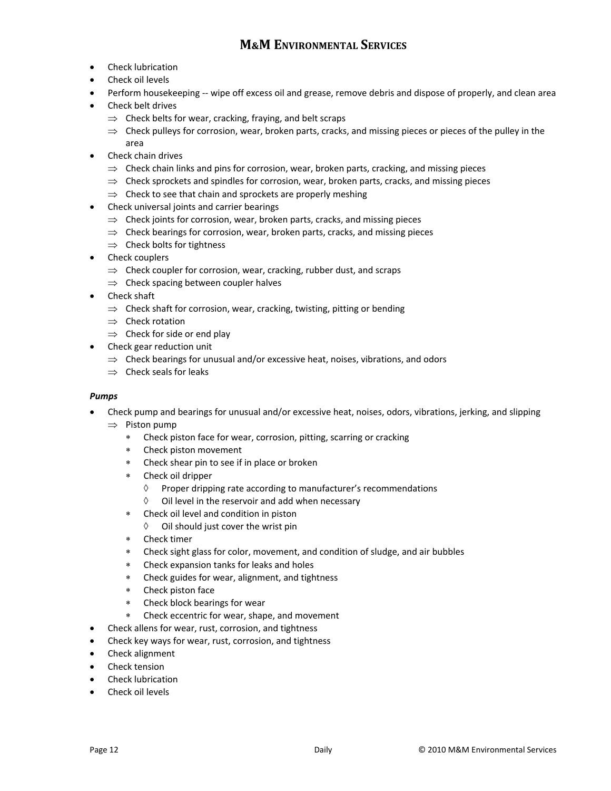- Check lubrication
- Check oil levels
- Perform housekeeping ‐‐ wipe off excess oil and grease, remove debris and dispose of properly, and clean area
- Check belt drives
	- $\Rightarrow$  Check belts for wear, cracking, fraying, and belt scraps
	- $\Rightarrow$  Check pulleys for corrosion, wear, broken parts, cracks, and missing pieces or pieces of the pulley in the area
- Check chain drives
	- $\Rightarrow$  Check chain links and pins for corrosion, wear, broken parts, cracking, and missing pieces
	- $\Rightarrow$  Check sprockets and spindles for corrosion, wear, broken parts, cracks, and missing pieces
	- $\Rightarrow$  Check to see that chain and sprockets are properly meshing
- Check universal joints and carrier bearings
	- $\Rightarrow$  Check joints for corrosion, wear, broken parts, cracks, and missing pieces
	- $\Rightarrow$  Check bearings for corrosion, wear, broken parts, cracks, and missing pieces
	- $\Rightarrow$  Check bolts for tightness
- Check couplers
	- $\Rightarrow$  Check coupler for corrosion, wear, cracking, rubber dust, and scraps
	- $\Rightarrow$  Check spacing between coupler halves
- Check shaft
	- $\Rightarrow$  Check shaft for corrosion, wear, cracking, twisting, pitting or bending
	- ⇒ Check rotation
	- $\Rightarrow$  Check for side or end play
- Check gear reduction unit
	- $\Rightarrow$  Check bearings for unusual and/or excessive heat, noises, vibrations, and odors
	- $\Rightarrow$  Check seals for leaks

### *Pumps*

- Check pump and bearings for unusual and/or excessive heat, noises, odors, vibrations, jerking, and slipping
	- ⇒ Piston pump
		- ∗ Check piston face for wear, corrosion, pitting, scarring or cracking
		- ∗ Check piston movement
		- ∗ Check shear pin to see if in place or broken
		- ∗ Check oil dripper
			- ◊ Proper dripping rate according to manufacturer's recommendations
			- ◊ Oil level in the reservoir and add when necessary
		- ∗ Check oil level and condition in piston
			- ◊ Oil should just cover the wrist pin
		- ∗ Check timer
		- ∗ Check sight glass for color, movement, and condition of sludge, and air bubbles
		- ∗ Check expansion tanks for leaks and holes
		- ∗ Check guides for wear, alignment, and tightness
		- ∗ Check piston face
		- ∗ Check block bearings for wear
		- ∗ Check eccentric for wear, shape, and movement
- Check allens for wear, rust, corrosion, and tightness
- Check key ways for wear, rust, corrosion, and tightness
- Check alignment
- Check tension
- Check lubrication
- Check oil levels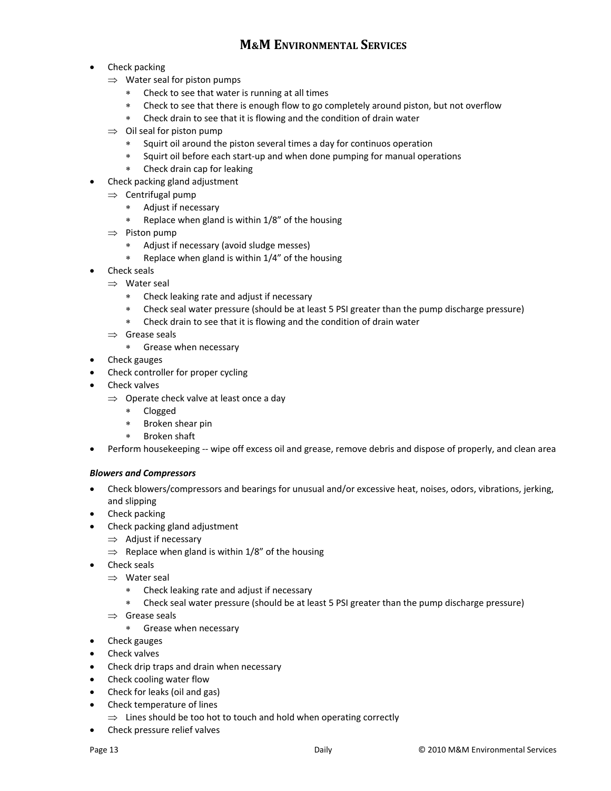- Check packing
	- $\Rightarrow$  Water seal for piston pumps
		- ∗ Check to see that water is running at all times
		- Check to see that there is enough flow to go completely around piston, but not overflow
		- ∗ Check drain to see that it is flowing and the condition of drain water
	- $\Rightarrow$  Oil seal for piston pump
		- ∗ Squirt oil around the piston several times a day for continuos operation
		- ∗ Squirt oil before each start‐up and when done pumping for manual operations
		- ∗ Check drain cap for leaking
- Check packing gland adjustment
	- $\Rightarrow$  Centrifugal pump
		- ∗ Adjust if necessary
		- ∗ Replace when gland is within 1/8" of the housing
	- ⇒ Piston pump
		- ∗ Adjust if necessary (avoid sludge messes)
		- ∗ Replace when gland is within 1/4" of the housing
- Check seals
	- ⇒ Water seal
		- ∗ Check leaking rate and adjust if necessary
		- ∗ Check seal water pressure (should be at least 5 PSI greater than the pump discharge pressure)
		- Check drain to see that it is flowing and the condition of drain water
	- ⇒ Grease seals
		- ∗ Grease when necessary
- Check gauges
- Check controller for proper cycling
- Check valves
	- $\Rightarrow$  Operate check valve at least once a day
		- ∗ Clogged
		- ∗ Broken shear pin
		- ∗ Broken shaft
- Perform housekeeping -- wipe off excess oil and grease, remove debris and dispose of properly, and clean area

### *Blowers and Compressors*

- Check blowers/compressors and bearings for unusual and/or excessive heat, noises, odors, vibrations, jerking, and slipping
- Check packing
- Check packing gland adjustment
	- $\Rightarrow$  Adjust if necessary
	- $\Rightarrow$  Replace when gland is within 1/8" of the housing
- Check seals
	- ⇒ Water seal
		- ∗ Check leaking rate and adjust if necessary
		- ∗ Check seal water pressure (should be at least 5 PSI greater than the pump discharge pressure)
	- ⇒ Grease seals
		- ∗ Grease when necessary
- Check gauges
- Check valves
- Check drip traps and drain when necessary
- Check cooling water flow
- Check for leaks (oil and gas)
- Check temperature of lines
	- $\Rightarrow$  Lines should be too hot to touch and hold when operating correctly
- Check pressure relief valves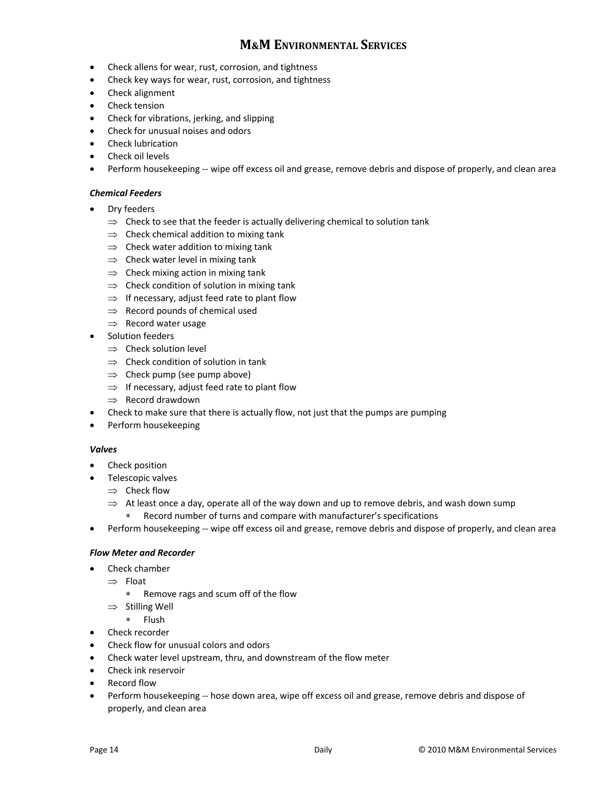- Check allens for wear, rust, corrosion, and tightness
- Check key ways for wear, rust, corrosion, and tightness
- Check alignment
- Check tension
- Check for vibrations, jerking, and slipping
- Check for unusual noises and odors
- Check lubrication
- Check oil levels
- Perform housekeeping -- wipe off excess oil and grease, remove debris and dispose of properly, and clean area

### *Chemical Feeders*

- Dry feeders
	- $\Rightarrow$  Check to see that the feeder is actually delivering chemical to solution tank
	- $\Rightarrow$  Check chemical addition to mixing tank
	- $\Rightarrow$  Check water addition to mixing tank
	- $\Rightarrow$  Check water level in mixing tank
	- $\Rightarrow$  Check mixing action in mixing tank
	- $\Rightarrow$  Check condition of solution in mixing tank
	- $\Rightarrow$  If necessary, adjust feed rate to plant flow
	- $\Rightarrow$  Record pounds of chemical used
	- ⇒ Record water usage
- Solution feeders
	- ⇒ Check solution level
	- $\Rightarrow$  Check condition of solution in tank
	- $\Rightarrow$  Check pump (see pump above)
	- $\Rightarrow$  If necessary, adjust feed rate to plant flow
	- ⇒ Record drawdown
- Check to make sure that there is actually flow, not just that the pumps are pumping
- Perform housekeeping

### *Valves*

- Check position
- Telescopic valves
	- ⇒ Check flow
	- $\Rightarrow$  At least once a day, operate all of the way down and up to remove debris, and wash down sump
		- ∗ Record number of turns and compare with manufacturer's specifications
- Perform housekeeping -- wipe off excess oil and grease, remove debris and dispose of properly, and clean area

### *Flow Meter and Recorder*

- Check chamber
	- ⇒ Float
		- ∗ Remove rags and scum off of the flow
	- ⇒ Stilling Well
		- ∗ Flush
- Check recorder
- Check flow for unusual colors and odors
- Check water level upstream, thru, and downstream of the flow meter
- Check ink reservoir
- Record flow
- Perform housekeeping -- hose down area, wipe off excess oil and grease, remove debris and dispose of properly, and clean area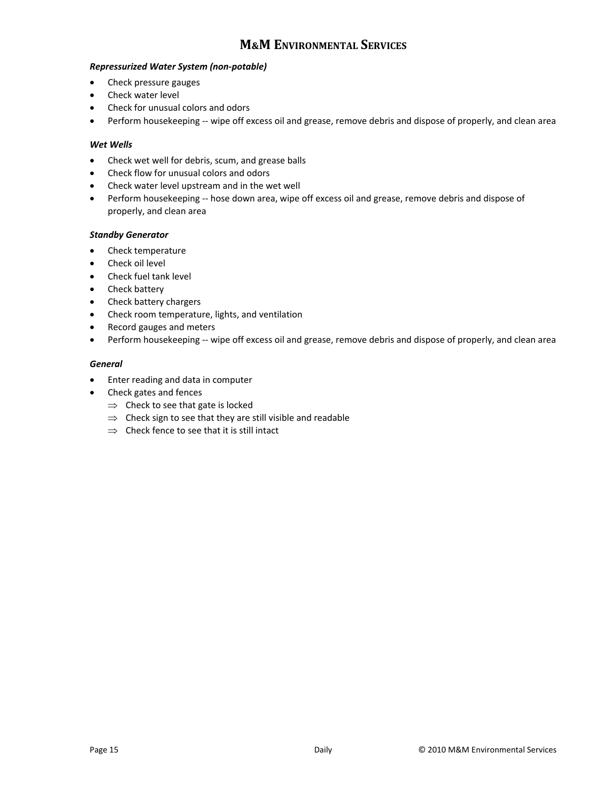### *Repressurized Water System (non‐potable)*

- Check pressure gauges
- Check water level
- Check for unusual colors and odors
- Perform housekeeping -- wipe off excess oil and grease, remove debris and dispose of properly, and clean area

### *Wet Wells*

- Check wet well for debris, scum, and grease balls
- Check flow for unusual colors and odors
- Check water level upstream and in the wet well
- Perform housekeeping -- hose down area, wipe off excess oil and grease, remove debris and dispose of properly, and clean area

### *Standby Generator*

- Check temperature
- Check oil level
- Check fuel tank level
- Check battery
- Check battery chargers
- Check room temperature, lights, and ventilation
- Record gauges and meters
- Perform housekeeping -- wipe off excess oil and grease, remove debris and dispose of properly, and clean area

### *General*

- Enter reading and data in computer
- Check gates and fences
	- $\Rightarrow$  Check to see that gate is locked
	- $\Rightarrow$  Check sign to see that they are still visible and readable
	- ⇒ Check fence to see that it is still intact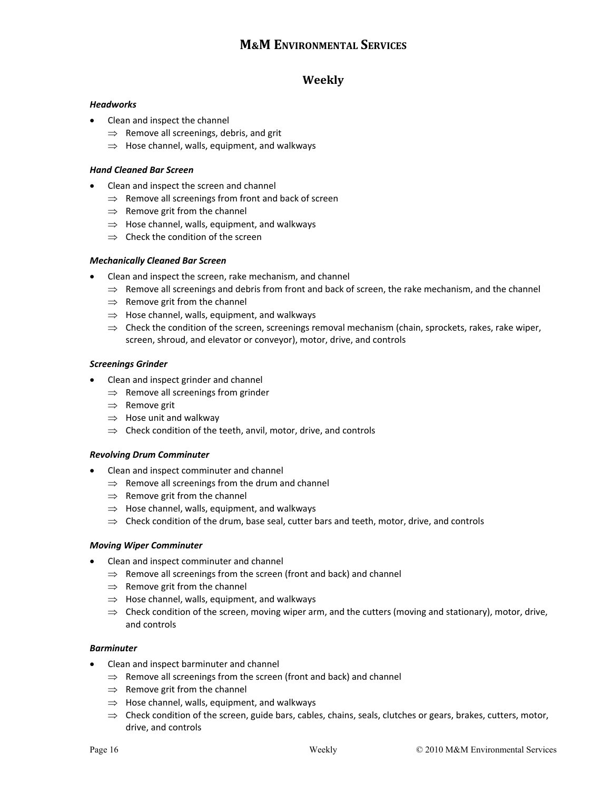### **Weekly**

### *Headworks*

- Clean and inspect the channel
	- $\Rightarrow$  Remove all screenings, debris, and grit
	- $\Rightarrow$  Hose channel, walls, equipment, and walkways

### *Hand Cleaned Bar Screen*

- Clean and inspect the screen and channel
	- ⇒ Remove all screenings from front and back of screen
	- $\Rightarrow$  Remove grit from the channel
	- $\Rightarrow$  Hose channel, walls, equipment, and walkways
	- $\Rightarrow$  Check the condition of the screen

### *Mechanically Cleaned Bar Screen*

- Clean and inspect the screen, rake mechanism, and channel
	- $\Rightarrow$  Remove all screenings and debris from front and back of screen, the rake mechanism, and the channel
	- $\Rightarrow$  Remove grit from the channel
	- $\Rightarrow$  Hose channel, walls, equipment, and walkways
	- $\Rightarrow$  Check the condition of the screen, screenings removal mechanism (chain, sprockets, rakes, rake wiper, screen, shroud, and elevator or conveyor), motor, drive, and controls

### *Screenings Grinder*

- Clean and inspect grinder and channel
	- $\Rightarrow$  Remove all screenings from grinder
	- ⇒ Remove grit
	- $\Rightarrow$  Hose unit and walkway
	- $\Rightarrow$  Check condition of the teeth, anvil, motor, drive, and controls

### *Revolving Drum Comminuter*

- Clean and inspect comminuter and channel
	- $\Rightarrow$  Remove all screenings from the drum and channel
	- $\Rightarrow$  Remove grit from the channel
	- $\Rightarrow$  Hose channel, walls, equipment, and walkways
	- $\Rightarrow$  Check condition of the drum, base seal, cutter bars and teeth, motor, drive, and controls

### *Moving Wiper Comminuter*

- Clean and inspect comminuter and channel
	- $\Rightarrow$  Remove all screenings from the screen (front and back) and channel
	- $\Rightarrow$  Remove grit from the channel
	- $\Rightarrow$  Hose channel, walls, equipment, and walkways
	- $\Rightarrow$  Check condition of the screen, moving wiper arm, and the cutters (moving and stationary), motor, drive, and controls

### *Barminuter*

- Clean and inspect barminuter and channel
	- $\Rightarrow$  Remove all screenings from the screen (front and back) and channel
	- $\Rightarrow$  Remove grit from the channel
	- $\Rightarrow$  Hose channel, walls, equipment, and walkways
	- ⇒ Check condition of the screen, guide bars, cables, chains, seals, clutches or gears, brakes, cutters, motor, drive, and controls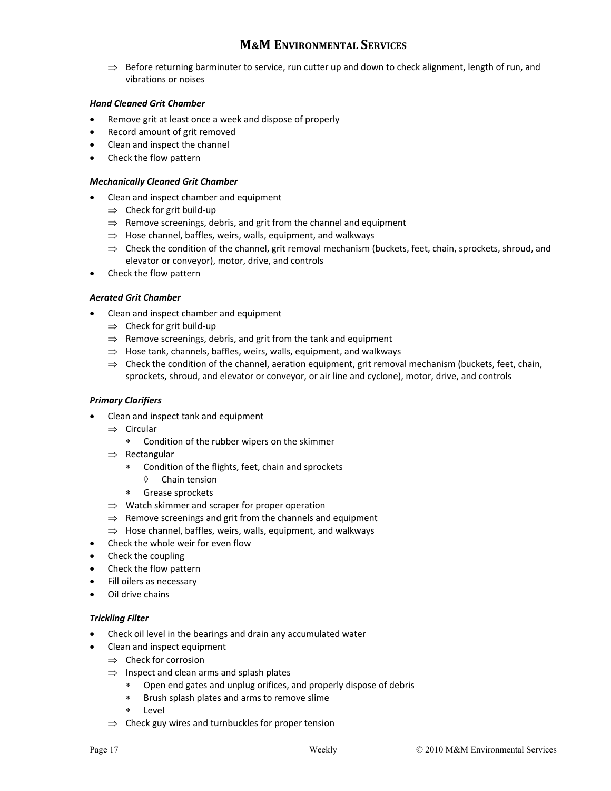$\Rightarrow$  Before returning barminuter to service, run cutter up and down to check alignment, length of run, and vibrations or noises

### *Hand Cleaned Grit Chamber*

- Remove grit at least once a week and dispose of properly
- Record amount of grit removed
- Clean and inspect the channel
- Check the flow pattern

#### *Mechanically Cleaned Grit Chamber*

- Clean and inspect chamber and equipment
	- $\Rightarrow$  Check for grit build-up
	- $\Rightarrow$  Remove screenings, debris, and grit from the channel and equipment
	- $\Rightarrow$  Hose channel, baffles, weirs, walls, equipment, and walkways
	- $\Rightarrow$  Check the condition of the channel, grit removal mechanism (buckets, feet, chain, sprockets, shroud, and elevator or conveyor), motor, drive, and controls
- Check the flow pattern

#### *Aerated Grit Chamber*

- Clean and inspect chamber and equipment
	- $\Rightarrow$  Check for grit build-up
	- $\Rightarrow$  Remove screenings, debris, and grit from the tank and equipment
	- $\Rightarrow$  Hose tank, channels, baffles, weirs, walls, equipment, and walkways
	- $\Rightarrow$  Check the condition of the channel, aeration equipment, grit removal mechanism (buckets, feet, chain, sprockets, shroud, and elevator or conveyor, or air line and cyclone), motor, drive, and controls

#### *Primary Clarifiers*

- Clean and inspect tank and equipment
	- ⇒ Circular
		- ∗ Condition of the rubber wipers on the skimmer
	- ⇒ Rectangular
		- ∗ Condition of the flights, feet, chain and sprockets
			- ◊ Chain tension
		- ∗ Grease sprockets
	- $\Rightarrow$  Watch skimmer and scraper for proper operation
	- $\Rightarrow$  Remove screenings and grit from the channels and equipment
	- ⇒ Hose channel, baffles, weirs, walls, equipment, and walkways
- Check the whole weir for even flow
- Check the coupling
- Check the flow pattern
- Fill oilers as necessary
- Oil drive chains

#### *Trickling Filter*

- Check oil level in the bearings and drain any accumulated water
- Clean and inspect equipment
	- ⇒ Check for corrosion
	- $\Rightarrow$  Inspect and clean arms and splash plates
		- ∗ Open end gates and unplug orifices, and properly dispose of debris
		- ∗ Brush splash plates and arms to remove slime
		- ∗ Level
	- $\Rightarrow$  Check guy wires and turnbuckles for proper tension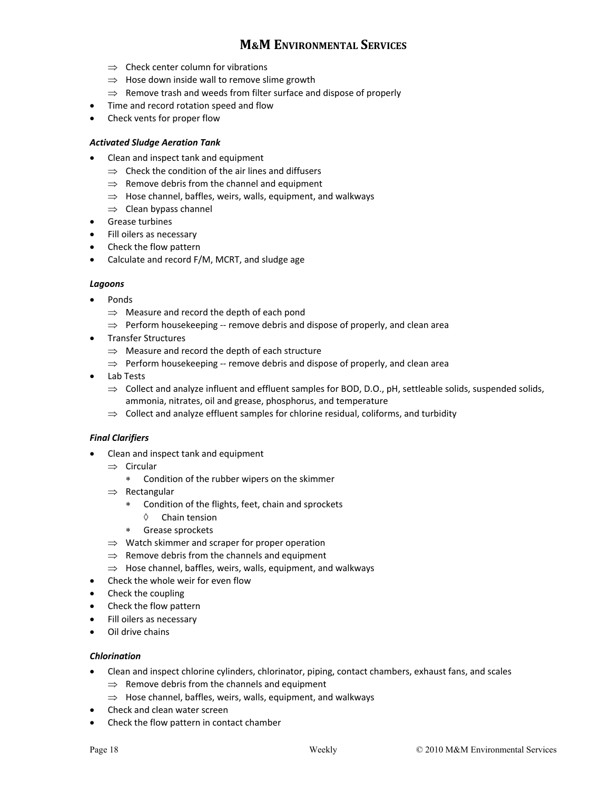- $\Rightarrow$  Check center column for vibrations
- $\Rightarrow$  Hose down inside wall to remove slime growth
- $\Rightarrow$  Remove trash and weeds from filter surface and dispose of properly
- Time and record rotation speed and flow
- Check vents for proper flow

### *Activated Sludge Aeration Tank*

- Clean and inspect tank and equipment
	- $\Rightarrow$  Check the condition of the air lines and diffusers
	- $\Rightarrow$  Remove debris from the channel and equipment
	- ⇒ Hose channel, baffles, weirs, walls, equipment, and walkways
	- $\Rightarrow$  Clean bypass channel
- Grease turbines
- Fill oilers as necessary
- Check the flow pattern
- Calculate and record F/M, MCRT, and sludge age

### *Lagoons*

- Ponds
	- $\Rightarrow$  Measure and record the depth of each pond
	- $\Rightarrow$  Perform housekeeping -- remove debris and dispose of properly, and clean area
- Transfer Structures
	- $\Rightarrow$  Measure and record the depth of each structure
	- $\Rightarrow$  Perform housekeeping -- remove debris and dispose of properly, and clean area
- Lab Tests
	- $\Rightarrow$  Collect and analyze influent and effluent samples for BOD, D.O., pH, settleable solids, suspended solids, ammonia, nitrates, oil and grease, phosphorus, and temperature
	- $\Rightarrow$  Collect and analyze effluent samples for chlorine residual, coliforms, and turbidity

### *Final Clarifiers*

- Clean and inspect tank and equipment
	- ⇒ Circular
		- ∗ Condition of the rubber wipers on the skimmer
	- ⇒ Rectangular
		- ∗ Condition of the flights, feet, chain and sprockets
			- ◊ Chain tension
		- ∗ Grease sprockets
	- $\Rightarrow$  Watch skimmer and scraper for proper operation
	- $\Rightarrow$  Remove debris from the channels and equipment
	- $\Rightarrow$  Hose channel, baffles, weirs, walls, equipment, and walkways
- Check the whole weir for even flow
- Check the coupling
- Check the flow pattern
- Fill oilers as necessary
- Oil drive chains

### *Chlorination*

- Clean and inspect chlorine cylinders, chlorinator, piping, contact chambers, exhaust fans, and scales
	- $\Rightarrow$  Remove debris from the channels and equipment
	- $\Rightarrow$  Hose channel, baffles, weirs, walls, equipment, and walkways
- Check and clean water screen
- Check the flow pattern in contact chamber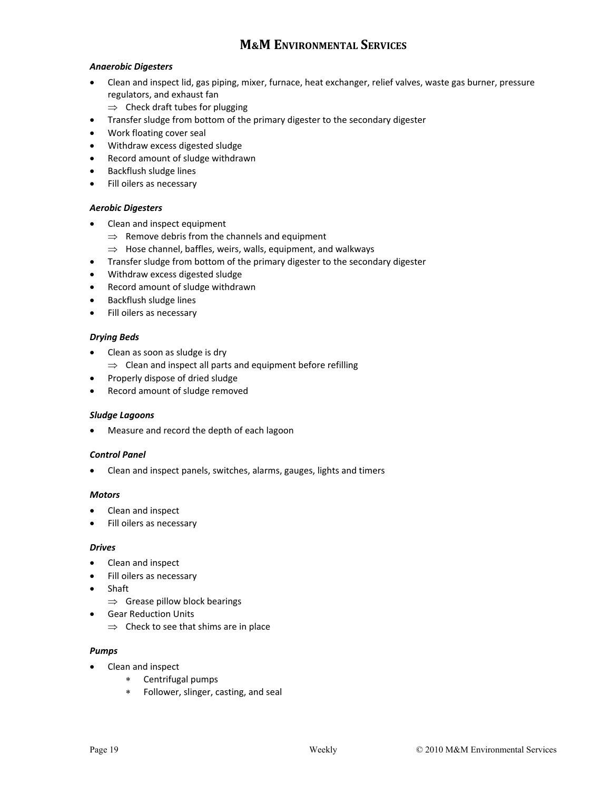### *Anaerobic Digesters*

- Clean and inspect lid, gas piping, mixer, furnace, heat exchanger, relief valves, waste gas burner, pressure regulators, and exhaust fan
	- $\Rightarrow$  Check draft tubes for plugging
- Transfer sludge from bottom of the primary digester to the secondary digester
- Work floating cover seal
- Withdraw excess digested sludge
- Record amount of sludge withdrawn
- Backflush sludge lines
- Fill oilers as necessary

### *Aerobic Digesters*

- Clean and inspect equipment
	- $\Rightarrow$  Remove debris from the channels and equipment
	- $\Rightarrow$  Hose channel, baffles, weirs, walls, equipment, and walkways
- Transfer sludge from bottom of the primary digester to the secondary digester
- Withdraw excess digested sludge
- Record amount of sludge withdrawn
- Backflush sludge lines
- Fill oilers as necessary

### *Drying Beds*

- Clean as soon as sludge is dry
	- $\Rightarrow$  Clean and inspect all parts and equipment before refilling
- Properly dispose of dried sludge
- Record amount of sludge removed

#### *Sludge Lagoons*

• Measure and record the depth of each lagoon

### *Control Panel*

• Clean and inspect panels, switches, alarms, gauges, lights and timers

#### *Motors*

- Clean and inspect
- Fill oilers as necessary

#### *Drives*

- Clean and inspect
- Fill oilers as necessary
- Shaft
	- $\Rightarrow$  Grease pillow block bearings
- Gear Reduction Units
	- $\Rightarrow$  Check to see that shims are in place

#### *Pumps*

- Clean and inspect
	- ∗ Centrifugal pumps
	- ∗ Follower, slinger, casting, and seal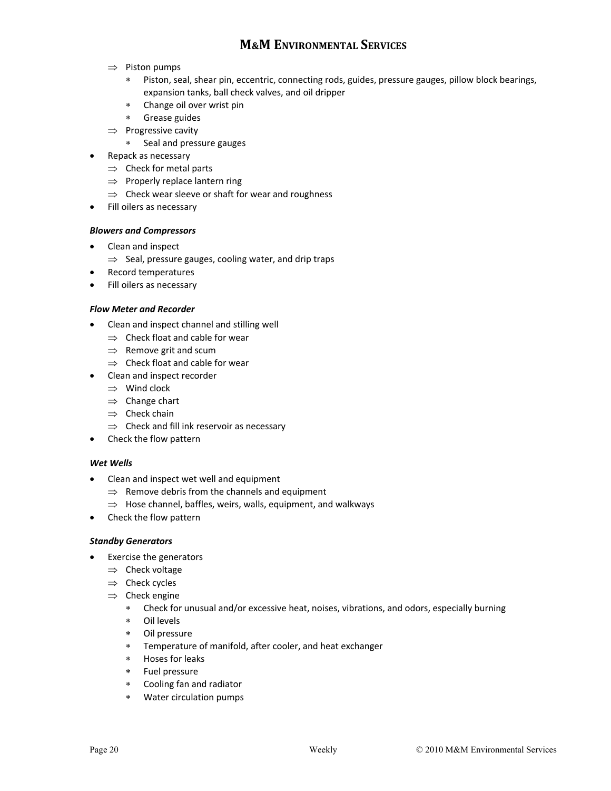- ⇒ Piston pumps
	- ∗ Piston, seal, shear pin, eccentric, connecting rods, guides, pressure gauges, pillow block bearings, expansion tanks, ball check valves, and oil dripper
	- ∗ Change oil over wrist pin
	- ∗ Grease guides
- ⇒ Progressive cavity
	- ∗ Seal and pressure gauges
- Repack as necessary
- $\Rightarrow$  Check for metal parts
- $\Rightarrow$  Properly replace lantern ring
- $\Rightarrow$  Check wear sleeve or shaft for wear and roughness
- Fill oilers as necessary

### *Blowers and Compressors*

- Clean and inspect
	- $\Rightarrow$  Seal, pressure gauges, cooling water, and drip traps
- Record temperatures
- Fill oilers as necessary

### *Flow Meter and Recorder*

- Clean and inspect channel and stilling well
	- $\Rightarrow$  Check float and cable for wear
	- $\Rightarrow$  Remove grit and scum
	- $\Rightarrow$  Check float and cable for wear
- Clean and inspect recorder
	- $\Rightarrow$  Wind clock
	- ⇒ Change chart
	- $\Rightarrow$  Check chain
	- $\Rightarrow$  Check and fill ink reservoir as necessary
- Check the flow pattern

### *Wet Wells*

- Clean and inspect wet well and equipment
	- $\Rightarrow$  Remove debris from the channels and equipment
	- ⇒ Hose channel, baffles, weirs, walls, equipment, and walkways
- Check the flow pattern

### *Standby Generators*

- Exercise the generators
	- $\Rightarrow$  Check voltage
	- ⇒ Check cycles
	- $\Rightarrow$  Check engine
		- ∗ Check for unusual and/or excessive heat, noises, vibrations, and odors, especially burning
		- ∗ Oil levels
		- ∗ Oil pressure
		- ∗ Temperature of manifold, after cooler, and heat exchanger
		- ∗ Hoses for leaks
		- ∗ Fuel pressure
		- ∗ Cooling fan and radiator
		- ∗ Water circulation pumps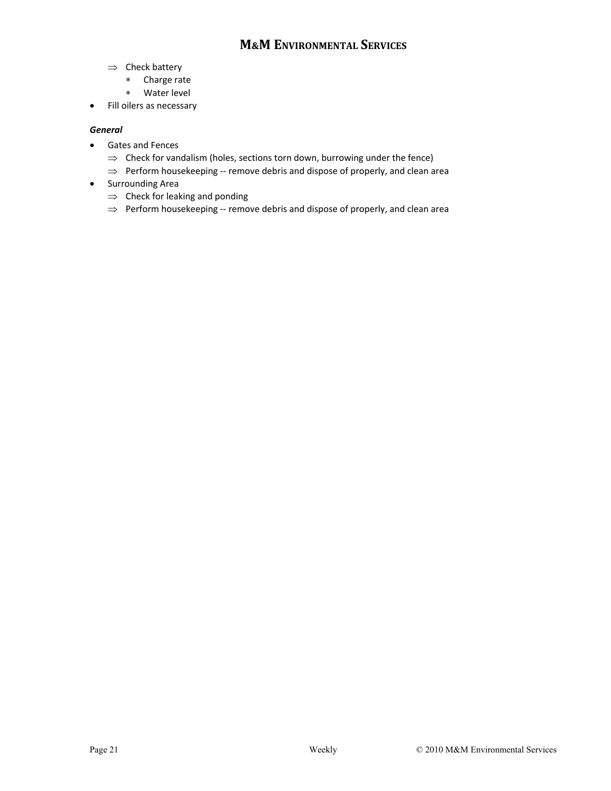- ⇒ Check battery
	- ∗ Charge rate
	- ∗ Water level
- Fill oilers as necessary

### *General*

- Gates and Fences
	- $\Rightarrow$  Check for vandalism (holes, sections torn down, burrowing under the fence)
	- $\Rightarrow$  Perform housekeeping -- remove debris and dispose of properly, and clean area
- Surrounding Area
	- $\Rightarrow$  Check for leaking and ponding
	- $\Rightarrow$  Perform housekeeping -- remove debris and dispose of properly, and clean area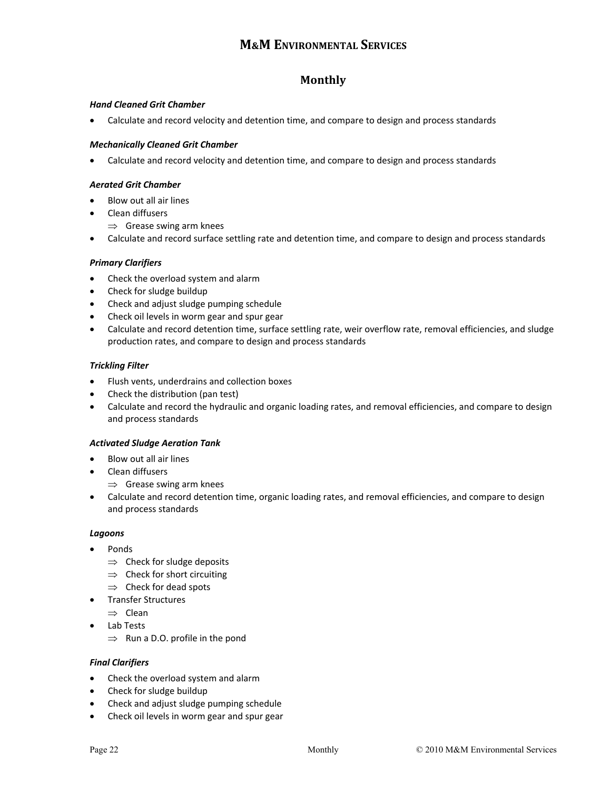### **Monthly**

### *Hand Cleaned Grit Chamber*

• Calculate and record velocity and detention time, and compare to design and process standards

### *Mechanically Cleaned Grit Chamber*

• Calculate and record velocity and detention time, and compare to design and process standards

### *Aerated Grit Chamber*

- Blow out all air lines
- Clean diffusers
	- $\Rightarrow$  Grease swing arm knees
- Calculate and record surface settling rate and detention time, and compare to design and process standards

### *Primary Clarifiers*

- Check the overload system and alarm
- Check for sludge buildup
- Check and adjust sludge pumping schedule
- Check oil levels in worm gear and spur gear
- Calculate and record detention time, surface settling rate, weir overflow rate, removal efficiencies, and sludge production rates, and compare to design and process standards

### *Trickling Filter*

- Flush vents, underdrains and collection boxes
- Check the distribution (pan test)
- Calculate and record the hydraulic and organic loading rates, and removal efficiencies, and compare to design and process standards

### *Activated Sludge Aeration Tank*

- Blow out all air lines
- Clean diffusers
	- $\Rightarrow$  Grease swing arm knees
- Calculate and record detention time, organic loading rates, and removal efficiencies, and compare to design and process standards

### *Lagoons*

- Ponds
	- $\Rightarrow$  Check for sludge deposits
	- $\Rightarrow$  Check for short circuiting
	- $\Rightarrow$  Check for dead spots
- Transfer Structures
	- ⇒ Clean
- Lab Tests
	- $\Rightarrow$  Run a D.O. profile in the pond

### *Final Clarifiers*

- Check the overload system and alarm
- Check for sludge buildup
- Check and adjust sludge pumping schedule
- Check oil levels in worm gear and spur gear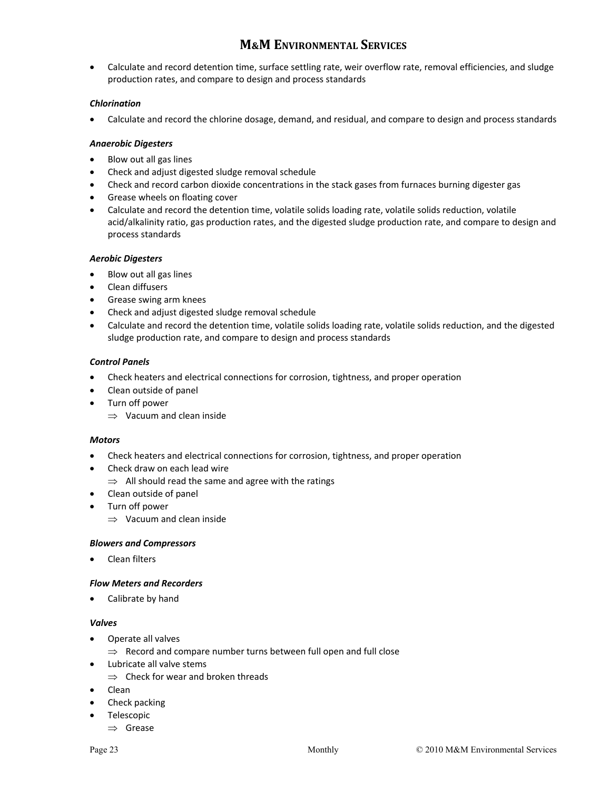• Calculate and record detention time, surface settling rate, weir overflow rate, removal efficiencies, and sludge production rates, and compare to design and process standards

### *Chlorination*

• Calculate and record the chlorine dosage, demand, and residual, and compare to design and process standards

### *Anaerobic Digesters*

- Blow out all gas lines
- Check and adjust digested sludge removal schedule
- Check and record carbon dioxide concentrations in the stack gases from furnaces burning digester gas
- Grease wheels on floating cover
- Calculate and record the detention time, volatile solids loading rate, volatile solids reduction, volatile acid/alkalinity ratio, gas production rates, and the digested sludge production rate, and compare to design and process standards

### *Aerobic Digesters*

- Blow out all gas lines
- Clean diffusers
- Grease swing arm knees
- Check and adjust digested sludge removal schedule
- Calculate and record the detention time, volatile solids loading rate, volatile solids reduction, and the digested sludge production rate, and compare to design and process standards

### *Control Panels*

- Check heaters and electrical connections for corrosion, tightness, and proper operation
- Clean outside of panel
- Turn off power
	- $\Rightarrow$  Vacuum and clean inside

### *Motors*

- Check heaters and electrical connections for corrosion, tightness, and proper operation
- Check draw on each lead wire
	- $\Rightarrow$  All should read the same and agree with the ratings
- Clean outside of panel
- Turn off power
	- ⇒ Vacuum and clean inside

### *Blowers and Compressors*

• Clean filters

### *Flow Meters and Recorders*

• Calibrate by hand

### *Valves*

- Operate all valves
	- ⇒ Record and compare number turns between full open and full close
- Lubricate all valve stems
	- $\Rightarrow$  Check for wear and broken threads
- Clean
- Check packing
- Telescopic
	- ⇒ Grease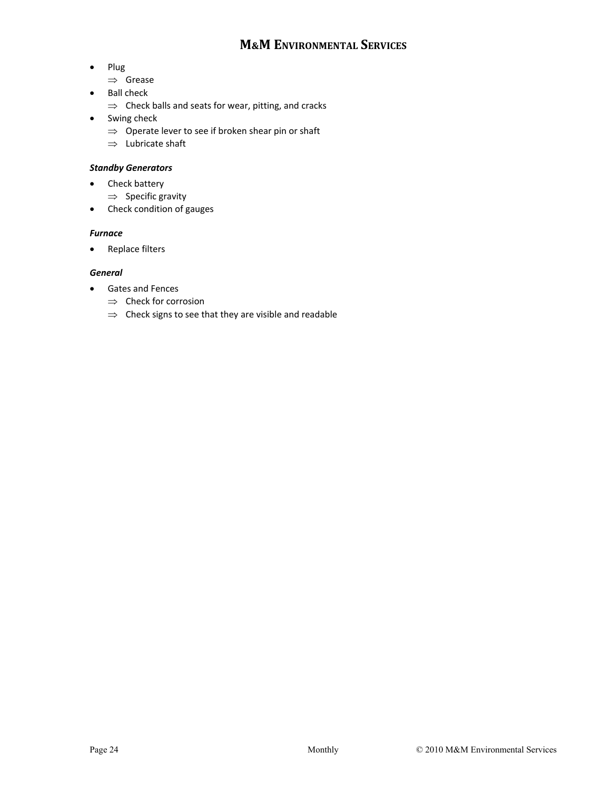- Plug
	- ⇒ Grease
- Ball check
	- ⇒ Check balls and seats for wear, pitting, and cracks
- Swing check
	- ⇒ Operate lever to see if broken shear pin or shaft
	- ⇒ Lubricate shaft

### *Standby Generators*

- Check battery
	- ⇒ Specific gravity
- Check condition of gauges

### *Furnace*

• Replace filters

### *General*

- Gates and Fences
	- ⇒ Check for corrosion
	- ⇒ Check signs to see that they are visible and readable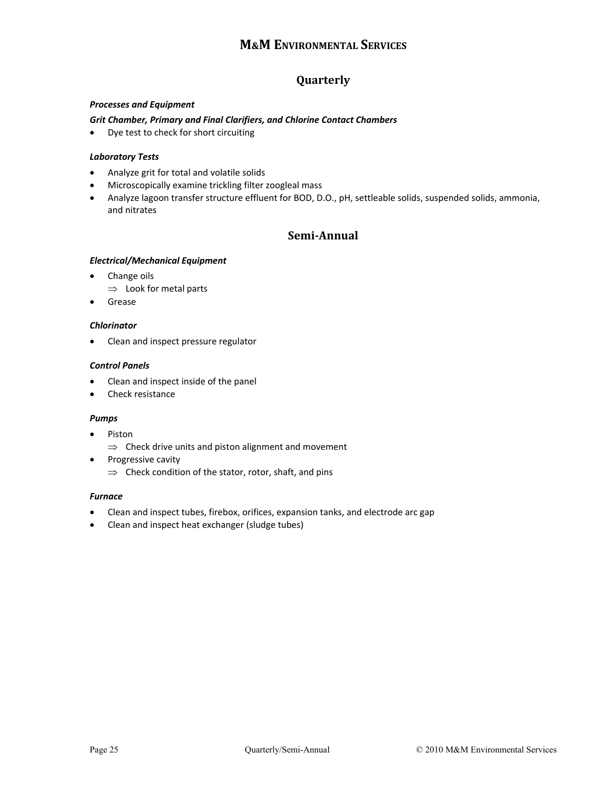### **Quarterly**

### *Processes and Equipment*

### *Grit Chamber, Primary and Final Clarifiers, and Chlorine Contact Chambers*

• Dye test to check for short circuiting

### *Laboratory Tests*

- Analyze grit for total and volatile solids
- Microscopically examine trickling filter zoogleal mass
- Analyze lagoon transfer structure effluent for BOD, D.O., pH, settleable solids, suspended solids, ammonia, and nitrates

### **Semi-Annual**

### *Electrical/Mechanical Equipment*

- Change oils
	- $\Rightarrow$  Look for metal parts
- Grease

### *Chlorinator*

• Clean and inspect pressure regulator

#### *Control Panels*

- Clean and inspect inside of the panel
- Check resistance

#### *Pumps*

- Piston
	- $\Rightarrow$  Check drive units and piston alignment and movement
- Progressive cavity
	- $\Rightarrow$  Check condition of the stator, rotor, shaft, and pins

#### *Furnace*

- Clean and inspect tubes, firebox, orifices, expansion tanks, and electrode arc gap
- Clean and inspect heat exchanger (sludge tubes)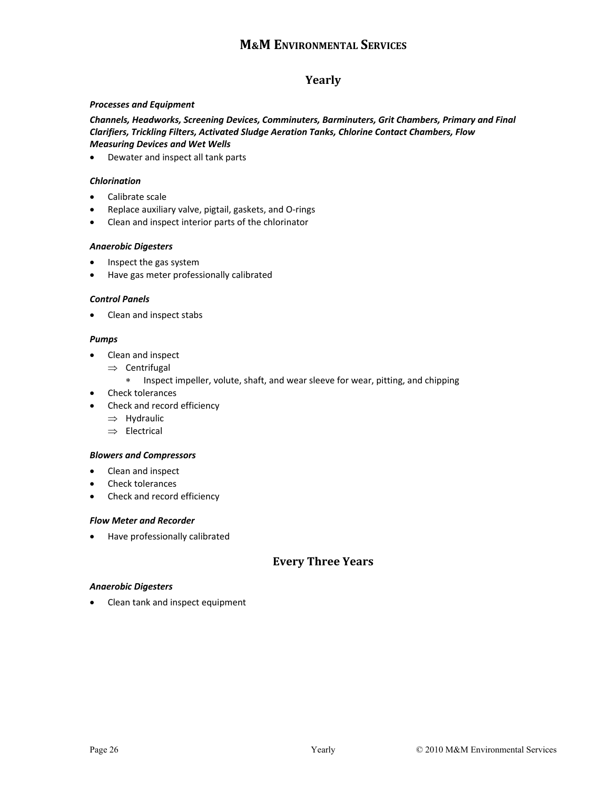### **Yearly**

### *Processes and Equipment*

*Channels, Headworks, Screening Devices, Comminuters, Barminuters, Grit Chambers, Primary and Final Clarifiers, Trickling Filters, Activated Sludge Aeration Tanks, Chlorine Contact Chambers, Flow Measuring Devices and Wet Wells* 

• Dewater and inspect all tank parts

### *Chlorination*

- Calibrate scale
- Replace auxiliary valve, pigtail, gaskets, and O‐rings
- Clean and inspect interior parts of the chlorinator

### *Anaerobic Digesters*

- Inspect the gas system
- Have gas meter professionally calibrated

### *Control Panels*

• Clean and inspect stabs

### *Pumps*

- Clean and inspect
	- ⇒ Centrifugal
		- ∗ Inspect impeller, volute, shaft, and wear sleeve for wear, pitting, and chipping
- Check tolerances
- Check and record efficiency
	- ⇒ Hydraulic
	- ⇒ Electrical

### *Blowers and Compressors*

- Clean and inspect
- Check tolerances
- Check and record efficiency

### *Flow Meter and Recorder*

• Have professionally calibrated

### **Every Three Years**

### *Anaerobic Digesters*

• Clean tank and inspect equipment